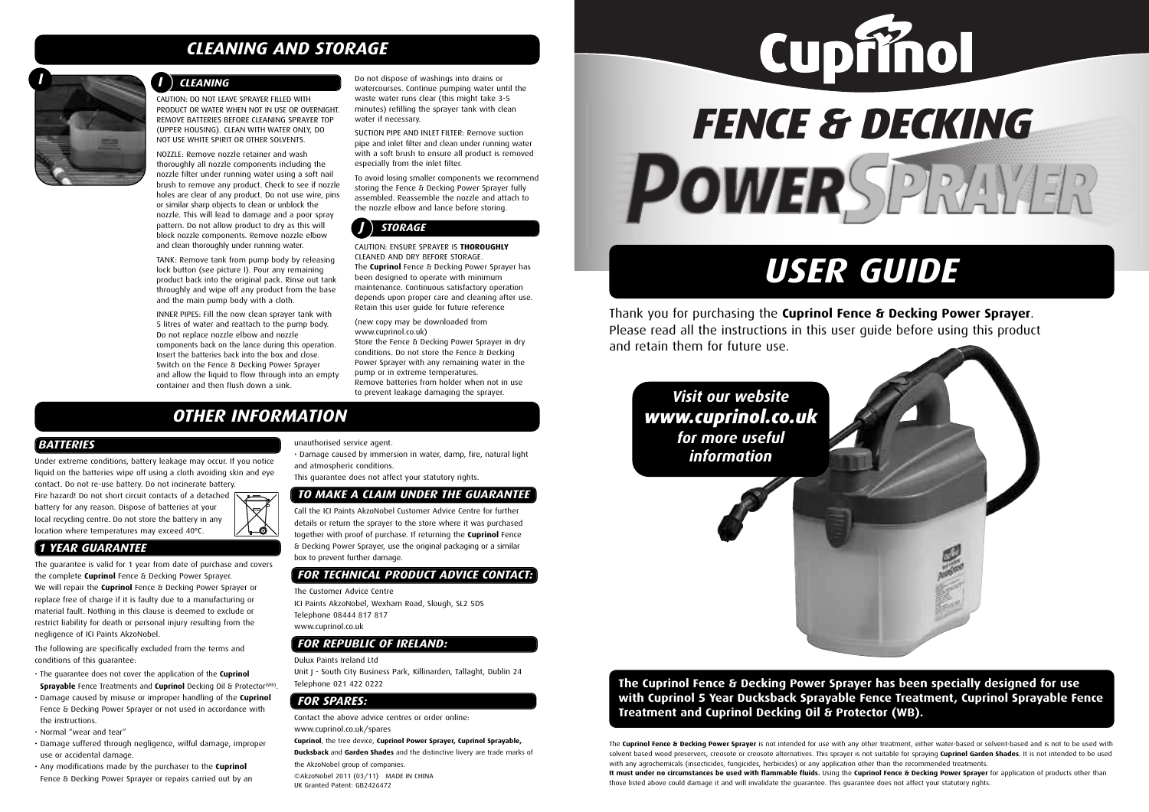# *OTHER INFORMATION*

# *USER GUIDE*

The **Cuprinol Fence & Decking Power Sprayer** is not intended for use with any other treatment, either water-based or solvent-based and is not to be used with solvent based wood preservers, creosote or creosote alternatives. This sprayer is not suitable for spraying **Cuprinol Garden Shades**. It is not intended to be used with any agrochemicals (insecticides, fungicides, herbicides) or any application other than the recommended treatments. It must under no circumstances be used with flammable fluids. Using the Cuprinol Fence & Decking Power Sprayer for application of products other than those listed above could damage it and will invalidate the guarantee. This guarantee does not affect your statutory rights.









Thank you for purchasing the **Cuprinol Fence & Decking Power Sprayer**. Please read all the instructions in this user guide before using this product and retain them for future use.

CAUTION: DO NOT LEAVE SPRAYER FILLED WITH PRODUCT OR WATER WHEN NOT IN USE OR OVERNIGHT. REMOVE BATTERIES BEFORE CLEANING SPRAYER TOP (UPPER HOUSING). CLEAN WITH WATER ONLY, DO NOT USE WHITE SPIRIT OR OTHER SOLVENTS.

NOZZLE: Remove nozzle retainer and wash thoroughly all nozzle components including the nozzle filter under running water using a soft nail brush to remove any product. Check to see if nozzle holes are clear of any product. Do not use wire, pins or similar sharp objects to clean or unblock the nozzle. This will lead to damage and a poor spray pattern. Do not allow product to dry as this will block nozzle components. Remove nozzle elbow and clean thoroughly under running water.

TANK: Remove tank from pump body by releasing lock button (see picture I). Pour any remaining product back into the original pack. Rinse out tank throughly and wipe off any product from the base and the main pump body with a cloth.

INNER PIPES: Fill the now clean sprayer tank with 5 litres of water and reattach to the pump body. Do not replace nozzle elbow and nozzle components back on the lance during this operation. Insert the batteries back into the box and close. Switch on the Fence & Decking Power Sprayer and allow the liquid to flow through into an empty container and then flush down a sink.

Fire hazard! Do not short circuit contacts of a detached  $\overline{\nabla}$ battery for any reason. Dispose of batteries at your local recycling centre. Do not store the battery in any location where temperatures may exceed 40ºC.

Do not dispose of washings into drains or watercourses. Continue pumping water until the waste water runs clear (this might take 3-5 minutes) refilling the sprayer tank with clean water if necessary.

SUCTION PIPE AND INLET FILTER: Remove suction pipe and inlet filter and clean under running water with a soft brush to ensure all product is removed especially from the inlet filter.

To avoid losing smaller components we recommend storing the Fence & Decking Power Sprayer fully assembled. Reassemble the nozzle and attach to the nozzle elbow and lance before storing.

CAUTION: ENSURE SPRAYER IS **THOROUGHLY** CLEANED AND DRY BEFORE STORAGE. The **Cuprinol** Fence & Decking Power Sprayer has been designed to operate with minimum maintenance. Continuous satisfactory operation depends upon proper care and cleaning after use. Retain this user guide for future reference

# *J STORAGE J STORAGE*

(new copy may be downloaded from www.cuprinol.co.uk) Store the Fence & Decking Power Sprayer in dry conditions. Do not store the Fence & Decking Power Sprayer with any remaining water in the pump or in extreme temperatures. Remove batteries from holder when not in use to prevent leakage damaging the sprayer.

# *CLEANING AND STORAGE*



# *I I CLEANING*

# **The Cuprinol Fence & Decking Power Sprayer has been specially designed for use with Cuprinol 5 Year Ducksback Sprayable Fence Treatment, Cuprinol Sprayable Fence Treatment and Cuprinol Decking Oil & Protector (WB).**

# *Visit our website www.cuprinol.co.uk for more useful information*



## *BATTERIES*

Under extreme conditions, battery leakage may occur. If you notice liquid on the batteries wipe off using a cloth avoiding skin and eye contact. Do not re-use battery. Do not incinerate battery.

# *1 YEAR GUARANTEE*

The guarantee is valid for 1 year from date of purchase and covers the complete **Cuprinol** Fence & Decking Power Sprayer. We will repair the **Cuprinol** Fence & Decking Power Sprayer or replace free of charge if it is faulty due to a manufacturing or material fault. Nothing in this clause is deemed to exclude or restrict liability for death or personal injury resulting from the negligence of ICI Paints AkzoNobel.

The following are specifically excluded from the terms and conditions of this guarantee:

- The guarantee does not cover the application of the **Cuprinol Sprayable** Fence Treatments and **Cuprinol** Decking Oil & Protector(WB) .
- Damage caused by misuse or improper handling of the **Cuprinol** Fence & Decking Power Sprayer or not used in accordance with the instructions.
- Normal "wear and tear"
- Damage suffered through negligence, wilful damage, improper use or accidental damage.
- Any modifications made by the purchaser to the **Cuprinol** Fence & Decking Power Sprayer or repairs carried out by an

unauthorised service agent.

• Damage caused by immersion in water, damp, fire, natural light and atmospheric conditions.

This guarantee does not affect your statutory rights.

# *TO MAKE A CLAIM UNDER THE GUARANTEE*

Call the ICI Paints AkzoNobel Customer Advice Centre for further details or return the sprayer to the store where it was purchased together with proof of purchase. If returning the **Cuprinol** Fence & Decking Power Sprayer, use the original packaging or a similar box to prevent further damage.

## *FOR TECHNICAL PRODUCT ADVICE CONTACT:*

The Customer Advice Centre ICI Paints AkzoNobel, Wexham Road, Slough, SL2 5DS Telephone 08444 817 817 www.cuprinol.co.uk

## *FOR REPUBLIC OF IRELAND:*

### Dulux Paints Ireland Ltd

Unit J - South City Business Park, Killinarden, Tallaght, Dublin 24 Telephone 021 422 0222

# *FOR SPARES:*

Contact the above advice centres or order online: www.cuprinol.co.uk/spares

**Cuprinol**, the tree device, **Cuprinol Power Sprayer, Cuprinol Sprayable, Ducksback** and **Garden Shades** and the distinctive livery are trade marks of

the AkzoNobel group of companies.

©AkzoNobel 2011 (03/11) MADE IN CHINA UK Granted Patent: GB2426472

# *FENCE & DECKING* POWERSPRAYER